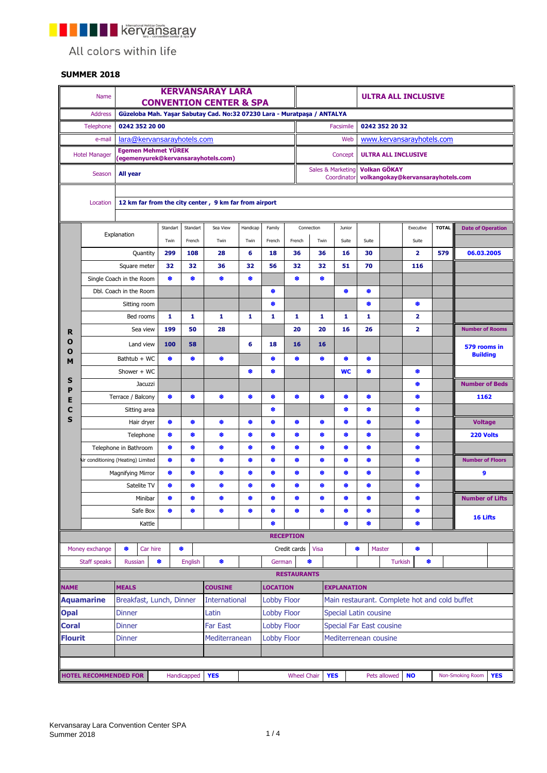**THE REPRESENTATION** 

All colors within life

## **SUMMER 2018**

|                | Name                               |                            |                |                            |                | <b>KERVANSARAY LARA</b><br><b>CONVENTION CENTER &amp; SPA</b>           |          |                    |                    |                                 |                                               |   |                           |                     | <b>ULTRA ALL INCLUSIVE</b> |                                   |                                |  |
|----------------|------------------------------------|----------------------------|----------------|----------------------------|----------------|-------------------------------------------------------------------------|----------|--------------------|--------------------|---------------------------------|-----------------------------------------------|---|---------------------------|---------------------|----------------------------|-----------------------------------|--------------------------------|--|
|                | <b>Address</b>                     |                            |                |                            |                | Güzeloba Mah. Yaşar Sabutay Cad. No:32 07230 Lara - Muratpaşa / ANTALYA |          |                    |                    |                                 |                                               |   |                           |                     |                            |                                   |                                |  |
|                | Telephone                          |                            | 0242 352 20 00 |                            |                |                                                                         |          |                    |                    |                                 | Facsimile                                     |   |                           | 0242 352 20 32      |                            |                                   |                                |  |
|                | e-mail                             | lara@kervansarayhotels.com |                |                            |                |                                                                         |          |                    |                    | Web                             |                                               |   | www.kervansarayhotels.com |                     |                            |                                   |                                |  |
|                |                                    |                            |                | <b>Egemen Mehmet YÜREK</b> |                |                                                                         |          |                    |                    |                                 |                                               |   |                           |                     |                            |                                   |                                |  |
|                | <b>Hotel Manager</b>               |                            |                |                            |                | (egemenyurek@kervansarayhotels.com)                                     |          |                    |                    |                                 | Concept                                       |   |                           |                     | <b>ULTRA ALL INCLUSIVE</b> |                                   |                                |  |
|                | Season                             | All year                   |                |                            |                |                                                                         |          |                    |                    |                                 | Sales & Marketing<br>Coordinator              |   |                           | <b>Volkan GÖKAY</b> |                            | volkangokay@kervansarayhotels.com |                                |  |
|                |                                    |                            |                |                            |                |                                                                         |          |                    |                    |                                 |                                               |   |                           |                     |                            |                                   |                                |  |
|                | Location                           |                            |                |                            |                | 12 km far from the city center, 9 km far from airport                   |          |                    |                    |                                 |                                               |   |                           |                     |                            |                                   |                                |  |
|                |                                    |                            |                | Standart                   | Standart       | Sea View                                                                | Handicap | Family             |                    | Connection                      | Junior                                        |   |                           |                     | Executive                  | <b>TOTAL</b>                      | <b>Date of Operation</b>       |  |
|                |                                    | Explanation                |                | Twin                       | French         | Twin                                                                    | Twin     | French             | French             | Twin                            | Suite                                         |   | Suite                     |                     | Suite                      |                                   |                                |  |
|                |                                    |                            | Quantity       | 299                        | 108            | 28                                                                      | 6        | 18                 | 36                 | 36                              | 16                                            |   | 30                        |                     | $\overline{2}$             | 579                               | 06.03.2005                     |  |
|                |                                    |                            | Square meter   | 32                         | 32             | 36                                                                      | 32       | 56                 | 32                 | 32                              | 51                                            |   | 70                        |                     | 116                        |                                   |                                |  |
|                | Single Coach in the Room           |                            |                | ₩                          | ❀              | ۰                                                                       | ۰        |                    | ❀                  | ٠                               |                                               |   |                           |                     |                            |                                   |                                |  |
|                | Dbl. Coach in the Room             |                            |                |                            |                |                                                                         |          | ۰                  |                    |                                 | ۰                                             |   | ۰                         |                     |                            |                                   |                                |  |
|                |                                    |                            | Sitting room   |                            |                |                                                                         |          | ۰                  |                    |                                 |                                               |   | ⊕                         |                     | ₩                          |                                   |                                |  |
|                |                                    |                            | Bed rooms      | 1                          | 1              | 1                                                                       | 1        | 1                  | 1                  | 1                               | 1                                             |   | 1                         |                     | $\overline{\mathbf{2}}$    |                                   |                                |  |
| R              |                                    |                            | Sea view       | 199                        | 50             | 28                                                                      |          |                    | 20                 | 20                              | 16                                            |   | 26                        |                     | 2                          |                                   | <b>Number of Rooms</b>         |  |
| Ο<br>O         |                                    |                            | Land view      | 100                        | 58             |                                                                         | 6        | 18                 | 16                 | 16                              |                                               |   |                           |                     |                            |                                   | 579 rooms in                   |  |
| M              |                                    | Bathtub + WC               |                | ₩                          | ₩              | ♣                                                                       |          | ۰                  | ❀                  | ٠                               | ❀                                             |   | ₩                         |                     |                            |                                   | <b>Building</b>                |  |
|                |                                    |                            | Shower + WC    |                            |                |                                                                         | ۰        | ۰                  |                    |                                 | <b>WC</b>                                     |   | ₩                         |                     | ₩                          |                                   |                                |  |
| S<br>P         |                                    |                            | Jacuzzi        |                            |                |                                                                         |          |                    |                    |                                 |                                               |   |                           |                     | ₩                          |                                   | <b>Number of Beds</b>          |  |
| E              |                                    | Terrace / Balcony          |                | ₩                          | ₩              | ۰                                                                       | ۰        | ۰                  | ⊕                  | ۰                               | ۰                                             |   | ⊕                         |                     | ₩                          |                                   | 1162                           |  |
| С              |                                    |                            | Sitting area   |                            |                |                                                                         |          | ❀                  |                    |                                 | ❀                                             |   | ₿                         |                     | ₩                          |                                   |                                |  |
| S              |                                    |                            | Hair dryer     | ⊕                          | ₩              | ₩                                                                       | ♣        | ❀                  | ₩                  | ₩                               | ♣                                             |   | ❀                         |                     | ₩                          |                                   | <b>Voltage</b>                 |  |
|                |                                    |                            | Telephone      | ₩                          | ❀              | ₩                                                                       | ۰        | ❀                  | ❀                  | ❀                               | ۰                                             |   | ❀                         |                     | ❀                          |                                   | 220 Volts                      |  |
|                | Telephone in Bathroom              |                            |                | ₩                          | ۰              | ۰                                                                       | ۰        | ۰                  | ۰                  | ۰                               | ۰                                             |   | ٠                         |                     | ۰                          |                                   |                                |  |
|                | Air conditioning (Heating) Limited |                            |                | ₩                          | ۰              | ۰                                                                       | ۰        | ۰                  | ⊕                  | ۰                               | ۰                                             |   | ۰                         |                     | ₩                          |                                   | <b>Number of Floors</b>        |  |
|                |                                    | <b>Magnifying Mirror</b>   |                | ₩                          | ₩              | ⊕                                                                       | ۰        | ⊕                  | ⊕                  | ♣                               | ۰                                             |   | ₩                         |                     | ₩                          |                                   | 9                              |  |
|                |                                    |                            | Satelite TV    | ₩                          | ₩              | ♣                                                                       | ♣        | ♣                  | ⊕                  | ₩                               | ₩                                             |   | ⊕                         |                     | ₩                          |                                   |                                |  |
|                |                                    |                            | Minibar        | <b>SP</b>                  |                |                                                                         |          |                    |                    |                                 |                                               |   |                           |                     | Ф                          |                                   | <b>Number of Lifts</b>         |  |
|                |                                    |                            | Safe Box       | ₩                          | ₩              | ۰                                                                       | ۰        | ۰                  | ₩                  | ۰                               | ۰                                             |   | ₩                         |                     | ₩                          |                                   | 16 Lifts                       |  |
|                |                                    |                            | Kattle         |                            |                |                                                                         |          | ۰                  |                    |                                 | ۰                                             |   | ۰                         |                     | ₩                          |                                   |                                |  |
|                |                                    |                            |                |                            |                |                                                                         |          |                    | <b>RECEPTION</b>   |                                 |                                               |   |                           |                     |                            |                                   |                                |  |
|                | Money exchange                     | ⊕                          | Car hire       |                            | ₩              |                                                                         |          |                    | Credit cards       | Visa                            |                                               | ♣ | Master                    |                     | ₩                          |                                   |                                |  |
|                | Staff speaks                       | <b>Russian</b>             |                | ۰                          | <b>English</b> | ۰                                                                       |          | German             |                    | ۰                               |                                               |   |                           | <b>Turkish</b>      |                            | ۰                                 |                                |  |
|                |                                    |                            |                |                            |                |                                                                         |          |                    | <b>RESTAURANTS</b> |                                 |                                               |   |                           |                     |                            |                                   |                                |  |
| <b>NAME</b>    |                                    | <b>MEALS</b>               |                |                            |                | <b>COUSINE</b>                                                          |          | <b>LOCATION</b>    |                    |                                 | <b>EXPLANATION</b>                            |   |                           |                     |                            |                                   |                                |  |
|                | <b>Aquamarine</b>                  |                            |                | Breakfast, Lunch, Dinner   |                | <b>International</b>                                                    |          | <b>Lobby Floor</b> |                    |                                 | Main restaurant. Complete hot and cold buffet |   |                           |                     |                            |                                   |                                |  |
| <b>Opal</b>    |                                    | <b>Dinner</b>              |                |                            |                | <b>Lobby Floor</b><br>Latin                                             |          |                    |                    | Special Latin cousine           |                                               |   |                           |                     |                            |                                   |                                |  |
| <b>Coral</b>   |                                    | <b>Dinner</b>              |                |                            |                | Far East                                                                |          | <b>Lobby Floor</b> |                    | <b>Special Far East cousine</b> |                                               |   |                           |                     |                            |                                   |                                |  |
| <b>Flourit</b> |                                    | Dinner                     |                |                            |                | Mediterranean                                                           |          | <b>Lobby Floor</b> |                    | Mediterrenean cousine           |                                               |   |                           |                     |                            |                                   |                                |  |
|                |                                    |                            |                |                            |                |                                                                         |          |                    |                    |                                 |                                               |   |                           |                     |                            |                                   |                                |  |
|                |                                    |                            |                |                            |                |                                                                         |          |                    |                    |                                 |                                               |   |                           |                     |                            |                                   |                                |  |
|                | <b>HOTEL RECOMMENDED FOR</b>       |                            |                |                            | Handicapped    | <b>YES</b>                                                              |          |                    | <b>Wheel Chair</b> |                                 | <b>YES</b>                                    |   |                           | Pets allowed        | <b>NO</b>                  |                                   | Non-Smoking Room<br><b>YES</b> |  |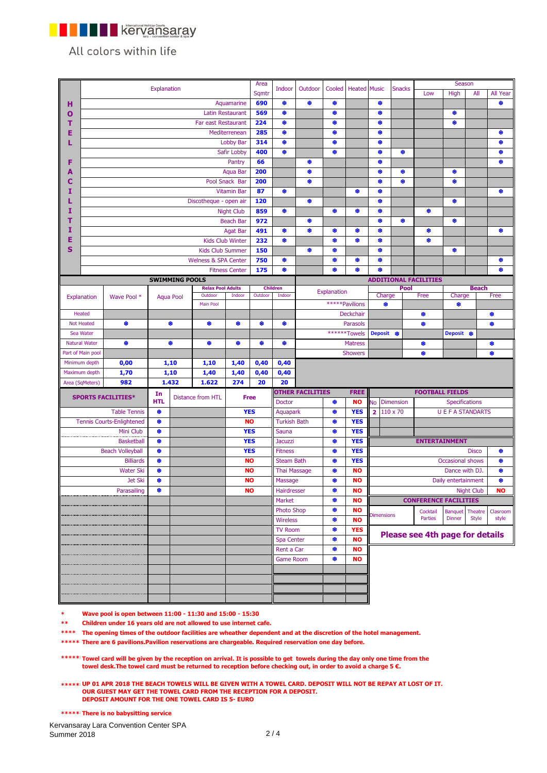

All colors within life

|   |                      |                                  |             |                       |                                 |                         | Area        |                     |                         |             |                     |                                |                  |                                 | Season                          |                         |                   |
|---|----------------------|----------------------------------|-------------|-----------------------|---------------------------------|-------------------------|-------------|---------------------|-------------------------|-------------|---------------------|--------------------------------|------------------|---------------------------------|---------------------------------|-------------------------|-------------------|
|   |                      |                                  | Explanation |                       |                                 |                         | Sqmtr       | Indoor              | Outdoor                 | Cooled      | <b>Heated</b> Music |                                | <b>Snacks</b>    | Low                             | High                            | All                     | All Year          |
| н |                      |                                  |             |                       |                                 | Aquamarine              | 690         | ♣                   | ♣                       | ۰           |                     | ♣                              |                  |                                 |                                 |                         | ♣                 |
|   |                      |                                  |             |                       |                                 |                         |             | ۰                   |                         | ۰           |                     |                                |                  |                                 |                                 |                         |                   |
| Ο |                      |                                  |             |                       |                                 | Latin Restaurant        | 569         |                     |                         |             |                     | ۰                              |                  |                                 | ۰                               |                         |                   |
| т |                      |                                  |             |                       | Far east Restaurant             |                         | 224         | ₩                   |                         | ❀           |                     | ₩                              |                  |                                 | ۰                               |                         |                   |
| E |                      |                                  |             |                       |                                 | Mediterrenean           | 285         | ۰                   |                         | ۰           |                     | ۰                              |                  |                                 |                                 |                         | ₩                 |
|   |                      |                                  |             |                       |                                 | Lobby Bar               | 314         | ♣                   |                         | ۰           |                     | ₩                              |                  |                                 |                                 |                         | ₩                 |
|   |                      |                                  |             |                       |                                 | Safir Lobby             | 400         | ۰                   |                         | ۰           |                     | ۰                              | ₩                |                                 |                                 |                         | ₩                 |
| F |                      |                                  |             |                       |                                 | Pantry                  | 66          |                     | ۰                       |             |                     | ₩                              |                  |                                 |                                 |                         | ₩                 |
| A |                      |                                  |             |                       |                                 | <b>Aqua Bar</b>         | 200         |                     | ۰                       |             |                     | ۰                              | ₩                |                                 | ۰                               |                         |                   |
| С |                      |                                  |             |                       |                                 | Pool Snack Bar          | 200         |                     | ۰                       |             |                     | ₩                              | ₩                |                                 | ❀                               |                         |                   |
| I |                      |                                  |             |                       |                                 | <b>Vitamin Bar</b>      | 87          | ۰                   |                         |             | ۰                   | ۰                              |                  |                                 |                                 |                         | ₩                 |
|   |                      |                                  |             |                       | Discotheque - open air          |                         | 120         |                     | ♣                       |             |                     | ❀                              |                  |                                 | ❀                               |                         |                   |
| I |                      |                                  |             |                       |                                 | <b>Night Club</b>       | 859         | ۰                   |                         | ۰           | ₩                   | ۰                              |                  | ۰                               |                                 |                         |                   |
| т |                      |                                  |             |                       |                                 | <b>Beach Bar</b>        | 972         |                     | ♣                       |             |                     | ❀                              | ₩                |                                 | ۰                               |                         |                   |
|   |                      |                                  |             |                       |                                 |                         |             |                     |                         |             |                     |                                |                  |                                 |                                 |                         |                   |
| I |                      |                                  |             |                       |                                 | <b>Agat Bar</b>         | 491         | ۰                   | ۰                       | ۰           | ۰                   | ۰                              |                  | ۰                               |                                 |                         | ₩                 |
| Ε |                      |                                  |             |                       |                                 | <b>Kids Club Winter</b> | 232         | ♣                   |                         | ♣           | ⊕                   | ₩                              |                  | ♣                               |                                 |                         |                   |
| S |                      |                                  |             |                       | <b>Kids Club Summer</b>         |                         | 150         |                     | ۰                       | ۰           |                     | ۰                              |                  |                                 | ۰                               |                         |                   |
|   |                      |                                  |             |                       | <b>Welness &amp; SPA Center</b> |                         | 750         | ♣                   |                         | ❀           | ⊕                   | ♣                              |                  |                                 |                                 |                         | ₩                 |
|   |                      |                                  |             |                       |                                 | <b>Fitness Center</b>   | 175         | ۰                   |                         | ❀           | ۰                   | ۰                              |                  |                                 |                                 |                         | ۰                 |
|   |                      |                                  |             | <b>SWIMMING POOLS</b> |                                 |                         |             |                     |                         |             |                     |                                |                  | <b>ADDITIONAL FACILITIES</b>    |                                 |                         |                   |
|   |                      |                                  |             |                       | <b>Relax Pool Adults</b>        |                         |             | <b>Children</b>     |                         |             |                     |                                | Pool             |                                 |                                 | <b>Beach</b>            |                   |
|   | Explanation          | Wave Pool *                      |             | <b>Aqua Pool</b>      | Outdoor                         | Indoor                  | Outdoor     | Indoor              |                         | Explanation |                     | Charge                         |                  | Free                            | Charge                          |                         | Free              |
|   |                      |                                  |             |                       | Main Pool                       |                         |             |                     | *****Pavilions          |             | ۰                   |                                |                  | ♦                               |                                 |                         |                   |
|   | Heated               |                                  |             |                       |                                 |                         |             |                     |                         |             | Deckchair           |                                |                  | ۰                               |                                 |                         | ₩                 |
|   | <b>Not Heated</b>    | ۰                                |             | ♣                     | ₩                               | ₩                       | ₩           | ۰                   |                         |             | Parasols            |                                |                  | ₩                               |                                 |                         | ₩                 |
|   | Sea Water            |                                  |             |                       |                                 |                         |             |                     |                         |             | ******Towels        | Deposit ®                      |                  |                                 | Deposit ®                       |                         |                   |
|   | <b>Natural Water</b> | ۰                                |             | ۰                     | ₩                               | ❀                       | ۰           | ۰                   |                         |             | <b>Matress</b>      |                                |                  | ₩                               |                                 |                         | ₩                 |
|   |                      |                                  |             |                       |                                 |                         |             |                     |                         |             |                     |                                |                  | ❀                               |                                 |                         | ۵                 |
|   | Part of Main pool    |                                  |             |                       |                                 |                         |             |                     |                         |             | <b>Showers</b>      |                                |                  |                                 |                                 |                         |                   |
|   | Minimum depth        | 0,00                             |             | 1,10                  | 1,10                            | 1,40                    | 0,40        | 0,40                |                         |             |                     |                                |                  |                                 |                                 |                         |                   |
|   | Maximum depth        | 1,70                             |             | 1,10                  | 1,40                            | 1,40                    | 0,40        | 0,40                |                         |             |                     |                                |                  |                                 |                                 |                         |                   |
|   | Area (SqMeters)      | 982                              |             | 1.432                 | 1.622                           | 274                     | 20          | 20                  |                         |             |                     |                                |                  |                                 |                                 |                         |                   |
|   |                      | <b>SPORTS FACILITIES*</b>        | In          |                       | Distance from HTL               |                         | <b>Free</b> |                     | <b>OTHER FACILITIES</b> |             | <b>FREE</b>         |                                |                  | <b>FOOTBALL FIELDS</b>          |                                 |                         |                   |
|   |                      |                                  | <b>HTL</b>  |                       |                                 |                         |             | <b>Doctor</b>       |                         | ۰           | <b>NO</b>           | <b>No</b>                      | <b>Dimension</b> |                                 | Specifications                  |                         |                   |
|   |                      | <b>Table Tennis</b>              | ⊕           |                       |                                 | <b>YES</b>              |             | Aquapark            |                         | ۰           | <b>YES</b>          | $\overline{\mathbf{2}}$        | 110 x 70         |                                 | <b>U E F A STANDARTS</b>        |                         |                   |
|   |                      | <b>Tennis Courts-Enlightened</b> | ۰           |                       |                                 | <b>NO</b>               |             | <b>Turkish Bath</b> |                         | ۰           | <b>YES</b>          |                                |                  |                                 |                                 |                         |                   |
|   |                      | Mini Club                        | ۰           |                       |                                 |                         | <b>YES</b>  | Sauna               |                         | ❀           | <b>YES</b>          |                                |                  |                                 |                                 |                         |                   |
|   |                      |                                  | ۰           |                       |                                 |                         | <b>YES</b>  |                     |                         | ۰           | <b>YES</b>          |                                |                  |                                 | <b>ENTERTAINMENT</b>            |                         |                   |
|   |                      | <b>Basketball</b>                |             |                       |                                 |                         |             | <b>Jacuzzi</b>      |                         |             |                     |                                |                  |                                 |                                 |                         |                   |
|   |                      | <b>Beach Volleyball</b>          | ₩           |                       |                                 | <b>YES</b>              |             | <b>Fitness</b>      |                         | ₩           | <b>YES</b>          |                                |                  |                                 |                                 | <b>Disco</b>            | ₩                 |
|   |                      | <b>Billiards</b>                 | ۰           |                       |                                 | <b>NO</b>               |             | <b>Steam Bath</b>   |                         | ۰           | <b>YES</b>          |                                |                  |                                 | Occasional shows                |                         | ۰                 |
|   |                      | <b>Water Ski</b>                 | ₩           |                       |                                 | <b>NO</b>               |             | <b>Thai Massage</b> |                         | ♣           | <b>NO</b>           |                                |                  |                                 | Dance with DJ.                  |                         | ♣                 |
|   |                      | Jet Ski                          | ۰           |                       |                                 | <b>NO</b>               |             | Massage             |                         | ۰           | <b>NO</b>           |                                |                  |                                 | Daily entertainment             |                         | ۰                 |
|   | Parasailing          |                                  | ⊕           | <b>NO</b>             |                                 |                         |             | Hairdresser         |                         | ۰           | NO                  | <b>Night Club</b><br><b>NO</b> |                  |                                 |                                 |                         |                   |
|   |                      |                                  |             |                       |                                 |                         |             |                     |                         | ۰           | <b>NO</b>           | <b>CONFERENCE FACILITIES</b>   |                  |                                 |                                 |                         |                   |
|   |                      |                                  |             |                       |                                 |                         |             | Market              |                         |             |                     |                                |                  |                                 |                                 |                         |                   |
|   |                      |                                  |             |                       |                                 |                         |             | <b>Photo Shop</b>   |                         | ♣           | <b>NO</b>           |                                |                  |                                 |                                 |                         |                   |
|   |                      |                                  |             |                       |                                 |                         |             |                     |                         | ۰           | <b>NO</b>           | <b>Dimensions</b>              |                  | Cocktail<br>Parties             | <b>Banquet</b><br><b>Dinner</b> | Theatre<br><b>Style</b> | Clasroom<br>style |
|   |                      |                                  |             |                       |                                 |                         |             | <b>Wireless</b>     |                         |             |                     |                                |                  |                                 |                                 |                         |                   |
|   |                      |                                  |             |                       |                                 |                         |             | <b>TV Room</b>      |                         | ♣           | <b>YES</b>          |                                |                  | Please see 4th page for details |                                 |                         |                   |
|   |                      |                                  |             |                       |                                 |                         |             | Spa Center          |                         | ۰           | <b>NO</b>           |                                |                  |                                 |                                 |                         |                   |
|   |                      |                                  |             |                       |                                 |                         |             | Rent a Car          |                         | ♦           | <b>NO</b>           |                                |                  |                                 |                                 |                         |                   |
|   |                      |                                  |             |                       |                                 |                         |             | <b>Game Room</b>    |                         | ۰           | <b>NO</b>           |                                |                  |                                 |                                 |                         |                   |
|   |                      |                                  |             |                       |                                 |                         |             |                     |                         |             |                     |                                |                  |                                 |                                 |                         |                   |
|   |                      |                                  |             |                       |                                 |                         |             |                     |                         |             |                     |                                |                  |                                 |                                 |                         |                   |
|   |                      |                                  |             |                       |                                 |                         |             |                     |                         |             |                     |                                |                  |                                 |                                 |                         |                   |

**\* Wave pool is open between 11:00 - 11:30 and 15:00 - 15:30**

**\*\* Children under 16 years old are not allowed to use internet cafe.**

**\*\*\*\* The opening times of the outdoor facilities are wheather dependent and at the discretion of the hotel management.** 

**\*\*\*\*\* There are 6 pavilions.Pavilion reservations are chargeable. Required reservation one day before.**

**\*\*\*\*\*\* Towel card will be given by the reception on arrival. It is possible to get towels during the day only one time from the towel desk.The towel card must be returned to reception before checking out, in order to avoid a charge 5 €.** 

**\*\*\*\*\*\* UP 01 APR 2018 THE BEACH TOWELS WILL BE GIVEN WITH A TOWEL CARD. DEPOSIT WILL NOT BE REPAY AT LOST OF IT. OUR GUEST MAY GET THE TOWEL CARD FROM THE RECEPTION FOR A DEPOSIT. DEPOSIT AMOUNT FOR THE ONE TOWEL CARD IS 5- EURO**

**\*\*\*\*\*\*\* There is no babysitting service**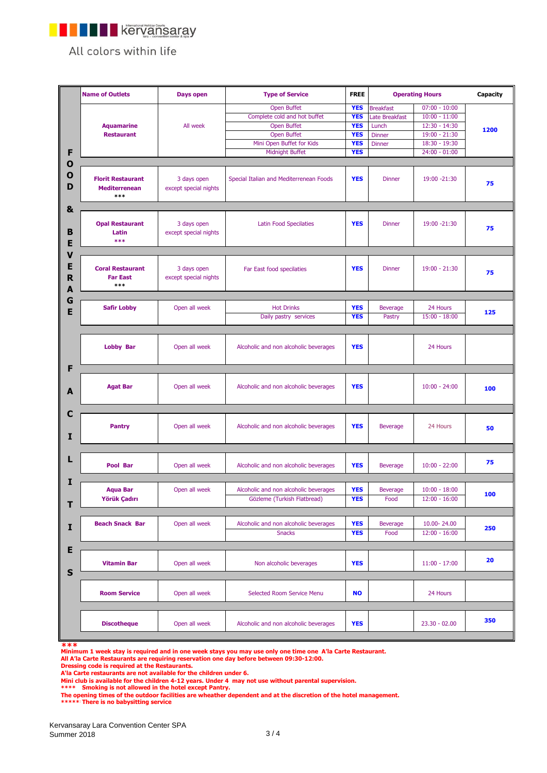

All colors within life

|                                 | <b>Name of Outlets</b>                                  | Days open                            | <b>Type of Service</b>                                                                                                           | <b>FREE</b>                                                                      |                                                                               | <b>Operating Hours</b>                                                                                       | Capacity |
|---------------------------------|---------------------------------------------------------|--------------------------------------|----------------------------------------------------------------------------------------------------------------------------------|----------------------------------------------------------------------------------|-------------------------------------------------------------------------------|--------------------------------------------------------------------------------------------------------------|----------|
| F                               | <b>Aquamarine</b><br><b>Restaurant</b>                  | All week                             | <b>Open Buffet</b><br>Complete cold and hot buffet<br>Open Buffet<br>Open Buffet<br>Mini Open Buffet for Kids<br>Midnight Buffet | <b>YES</b><br><b>YES</b><br><b>YES</b><br><b>YES</b><br><b>YES</b><br><b>YES</b> | <b>Breakfast</b><br>Late Breakfast<br>Lunch<br><b>Dinner</b><br><b>Dinner</b> | $07:00 - 10:00$<br>$10:00 - 11:00$<br>$12:30 - 14:30$<br>$19:00 - 21:30$<br>18:30 - 19:30<br>$24:00 - 01:00$ | 1200     |
| $\mathbf 0$<br>$\mathbf 0$<br>D | <b>Florit Restaurant</b><br><b>Mediterrenean</b><br>*** | 3 days open<br>except special nights | Special Italian and Mediterrenean Foods                                                                                          | <b>YES</b>                                                                       | <b>Dinner</b>                                                                 | 19:00 -21:30                                                                                                 | 75       |
| &<br>B<br>Е                     | <b>Opal Restaurant</b><br>Latin<br>***                  | 3 days open<br>except special nights | <b>Latin Food Specilaties</b>                                                                                                    | <b>YES</b>                                                                       | <b>Dinner</b>                                                                 | 19:00 -21:30                                                                                                 | 75       |
| V<br>E<br>$\mathsf R$<br>А      | <b>Coral Restaurant</b><br><b>Far East</b><br>***       | 3 days open<br>except special nights | Far East food specilaties                                                                                                        | <b>YES</b>                                                                       | <b>Dinner</b>                                                                 | $19:00 - 21:30$                                                                                              | 75       |
| G<br>E                          | <b>Safir Lobby</b>                                      | Open all week                        | <b>Hot Drinks</b><br>Daily pastry services                                                                                       | <b>YES</b><br><b>YES</b>                                                         | <b>Beverage</b><br>Pastry                                                     | 24 Hours<br>$15:00 - 18:00$                                                                                  | 125      |
|                                 | <b>Lobby Bar</b>                                        | Open all week                        | Alcoholic and non alcoholic beverages                                                                                            | <b>YES</b>                                                                       |                                                                               | 24 Hours                                                                                                     |          |
| F<br>A                          | <b>Agat Bar</b>                                         | Open all week                        | Alcoholic and non alcoholic beverages                                                                                            | <b>YES</b>                                                                       |                                                                               | $10:00 - 24:00$                                                                                              | 100      |
| C<br>I                          | <b>Pantry</b>                                           | Open all week                        | Alcoholic and non alcoholic beverages                                                                                            | <b>YES</b>                                                                       | <b>Beverage</b>                                                               | 24 Hours                                                                                                     | 50       |
| L                               | Pool Bar                                                | Open all week                        | Alcoholic and non alcoholic beverages                                                                                            | <b>YES</b>                                                                       | <b>Beverage</b>                                                               | $10:00 - 22:00$                                                                                              | 75       |
| I<br>т                          | <b>Aqua Bar</b><br>Yörük Çadırı                         | Open all week                        | Alcoholic and non alcoholic beverages<br>Gözleme (Turkish Flatbread)                                                             | <b>YES</b><br><b>YES</b>                                                         | <b>Beverage</b><br>Food                                                       | $10:00 - 18:00$<br>$12:00 - 16:00$                                                                           | 100      |
| I                               | <b>Beach Snack Bar</b>                                  | Open all week                        | Alcoholic and non alcoholic beverages<br><b>Snacks</b>                                                                           | <b>YES</b><br><b>YES</b>                                                         | <b>Beverage</b><br>Food                                                       | 10.00-24.00<br>$12:00 - 16:00$                                                                               | 250      |
| E<br>$\mathsf{s}$               | <b>Vitamin Bar</b>                                      | Open all week                        | Non alcoholic beverages                                                                                                          | <b>YES</b>                                                                       |                                                                               | $11:00 - 17:00$                                                                                              | 20       |
|                                 | <b>Room Service</b>                                     | Open all week                        | Selected Room Service Menu                                                                                                       | <b>NO</b>                                                                        |                                                                               | 24 Hours                                                                                                     |          |
|                                 | <b>Discotheque</b>                                      | Open all week                        | Alcoholic and non alcoholic beverages                                                                                            | <b>YES</b>                                                                       |                                                                               | $23.30 - 02.00$                                                                                              | 350      |

**\*\*\***

Minimum 1 week stay is required and in one week stays you may use only one time one A'la Carte Restaurant.<br>All A'la Carte Restaurants are requiring reservation one day before between 09:30-12:00.<br>Dressing code is required

**Mini club is available for the children 4-12 years. Under 4 may not use without parental supervision. \*\*\*\* Smoking is not allowed in the hotel except Pantry.**

**The opening times of the outdoor facilities are wheather dependent and at the discretion of the hotel management. \*\*\*\*\*\*\* There is no babysitting service**